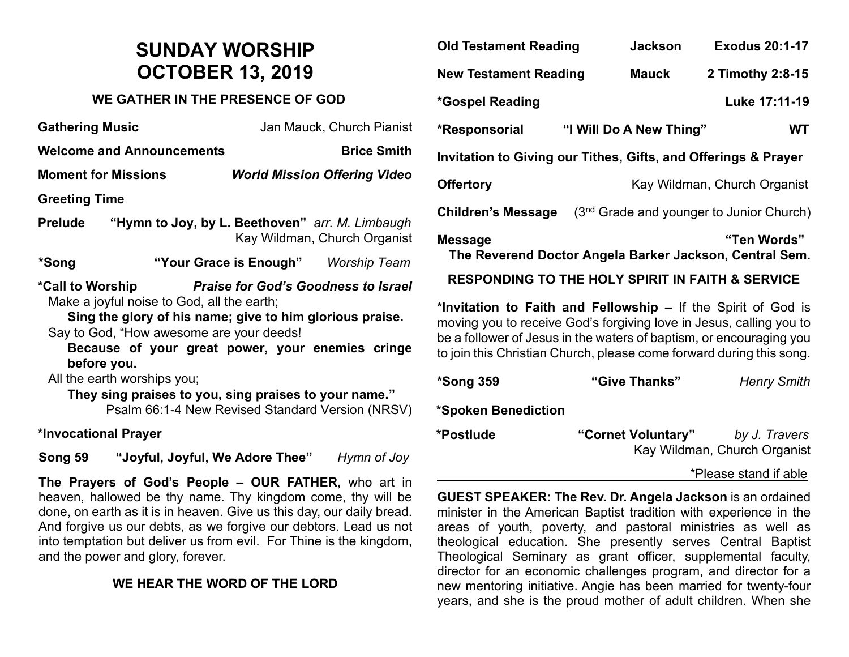## **SUNDAY WORSHIP OCTOBER 13, 2019**

#### **WE GATHER IN THE PRESENCE OF GOD**

| <b>Gathering Music</b>                                                                                                                                                                                                                                                                                                                                                                                                    |                                                                                                                                                                                                                                                                                                                                                                                                                                                                                           | Jan Mauck, Church Pianist           |                                     |  |  |  |
|---------------------------------------------------------------------------------------------------------------------------------------------------------------------------------------------------------------------------------------------------------------------------------------------------------------------------------------------------------------------------------------------------------------------------|-------------------------------------------------------------------------------------------------------------------------------------------------------------------------------------------------------------------------------------------------------------------------------------------------------------------------------------------------------------------------------------------------------------------------------------------------------------------------------------------|-------------------------------------|-------------------------------------|--|--|--|
| <b>Welcome and Announcements</b>                                                                                                                                                                                                                                                                                                                                                                                          |                                                                                                                                                                                                                                                                                                                                                                                                                                                                                           |                                     | <b>Brice Smith</b>                  |  |  |  |
| <b>Moment for Missions</b>                                                                                                                                                                                                                                                                                                                                                                                                |                                                                                                                                                                                                                                                                                                                                                                                                                                                                                           |                                     | <b>World Mission Offering Video</b> |  |  |  |
| <b>Greeting Time</b>                                                                                                                                                                                                                                                                                                                                                                                                      |                                                                                                                                                                                                                                                                                                                                                                                                                                                                                           |                                     |                                     |  |  |  |
| Prelude                                                                                                                                                                                                                                                                                                                                                                                                                   | "Hymn to Joy, by L. Beethoven" arr. M. Limbaugh                                                                                                                                                                                                                                                                                                                                                                                                                                           |                                     | Kay Wildman, Church Organist        |  |  |  |
| *Song                                                                                                                                                                                                                                                                                                                                                                                                                     |                                                                                                                                                                                                                                                                                                                                                                                                                                                                                           | "Your Grace is Enough" Worship Team |                                     |  |  |  |
| *Call to Worship Praise for God's Goodness to Israel<br>Make a joyful noise to God, all the earth;<br>Sing the glory of his name; give to him glorious praise.<br>Say to God, "How awesome are your deeds!<br>Because of your great power, your enemies cringe<br>before you.<br>All the earth worships you;<br>They sing praises to you, sing praises to your name."<br>Psalm 66:1-4 New Revised Standard Version (NRSV) |                                                                                                                                                                                                                                                                                                                                                                                                                                                                                           |                                     |                                     |  |  |  |
| *Invocational Prayer                                                                                                                                                                                                                                                                                                                                                                                                      |                                                                                                                                                                                                                                                                                                                                                                                                                                                                                           |                                     |                                     |  |  |  |
|                                                                                                                                                                                                                                                                                                                                                                                                                           | $0 \rightarrow 0$ $\blacksquare$ $\blacksquare$ $\blacksquare$ $\blacksquare$ $\blacksquare$ $\blacksquare$ $\blacksquare$ $\blacksquare$ $\blacksquare$ $\blacksquare$ $\blacksquare$ $\blacksquare$ $\blacksquare$ $\blacksquare$ $\blacksquare$ $\blacksquare$ $\blacksquare$ $\blacksquare$ $\blacksquare$ $\blacksquare$ $\blacksquare$ $\blacksquare$ $\blacksquare$ $\blacksquare$ $\blacksquare$ $\blacksquare$ $\blacksquare$ $\blacksquare$ $\blacksquare$ $\blacksquare$ $\bl$ |                                     |                                     |  |  |  |

**Song 59 "Joyful, Joyful, We Adore Thee"** *Hymn of Joy*

**The Prayers of God's People – OUR FATHER,** who art in heaven, hallowed be thy name. Thy kingdom come, thy will be done, on earth as it is in heaven. Give us this day, our daily bread. And forgive us our debts, as we forgive our debtors. Lead us not into temptation but deliver us from evil. For Thine is the kingdom, and the power and glory, forever.

### **WE HEAR THE WORD OF THE LORD**

| <b>Old Testament Reading</b>                                                             |  | <b>Jackson</b>          | <b>Exodus 20:1-17</b>                      |  |  |
|------------------------------------------------------------------------------------------|--|-------------------------|--------------------------------------------|--|--|
| <b>New Testament Reading</b>                                                             |  | <b>Mauck</b>            | 2 Timothy 2:8-15                           |  |  |
| *Gospel Reading                                                                          |  |                         | Luke 17:11-19                              |  |  |
| *Responsorial                                                                            |  | "I Will Do A New Thing" | WT                                         |  |  |
| Invitation to Giving our Tithes, Gifts, and Offerings & Prayer                           |  |                         |                                            |  |  |
| <b>Offertory</b>                                                                         |  |                         | Kay Wildman, Church Organist               |  |  |
| <b>Children's Message</b>                                                                |  |                         | $(3nd$ Grade and younger to Junior Church) |  |  |
| "Ten Words"<br><b>Message</b><br>The Reverend Doctor Angela Barker Jackson, Central Sem. |  |                         |                                            |  |  |
| <b>RESPONDING TO THE HOLY SPIRIT IN FAITH &amp; SERVICE</b>                              |  |                         |                                            |  |  |
| *Invitation to Eaith and Fellowshin - If the Spirit of God is                            |  |                         |                                            |  |  |

**\*Invitation to Faith and Fellowship –** If the Spirit of God is moving you to receive God's forgiving love in Jesus, calling you to be a follower of Jesus in the waters of baptism, or encouraging you to join this Christian Church, please come forward during this song.

| *Song 359           | "Give Thanks"      | <b>Henry Smith</b>           |
|---------------------|--------------------|------------------------------|
| *Spoken Benediction |                    |                              |
| *Postlude           | "Cornet Voluntary" | by J. Travers                |
|                     |                    | Kay Wildman, Church Organist |

#### \*Please stand if able

**GUEST SPEAKER: The Rev. Dr. Angela Jackson** is an ordained minister in the American Baptist tradition with experience in the areas of youth, poverty, and pastoral ministries as well as theological education. She presently serves Central Baptist Theological Seminary as grant officer, supplemental faculty, director for an economic challenges program, and director for a new mentoring initiative. Angie has been married for twenty-four years, and she is the proud mother of adult children. When she